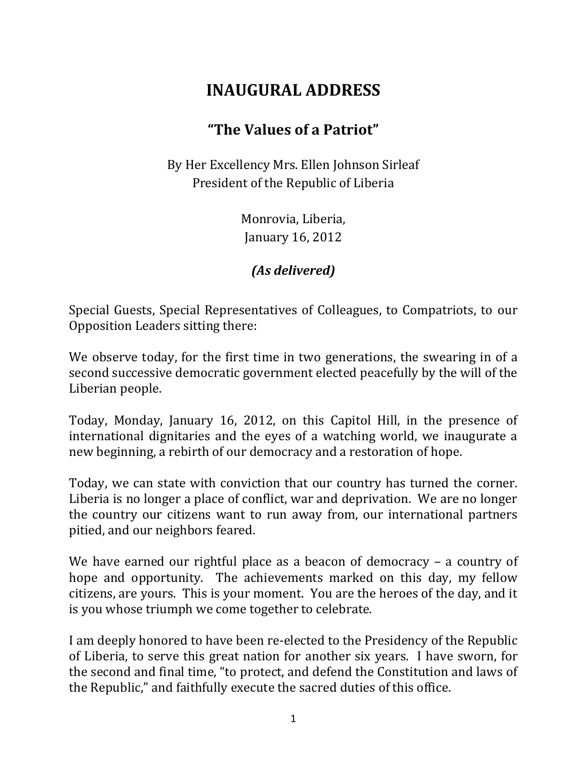## **INAUGURAL ADDRESS**

## **"The Values of a Patriot"**

By Her Excellency Mrs. Ellen Johnson Sirleaf President of the Republic of Liberia

> Monrovia, Liberia, January 16, 2012

*(As delivered)*

Special Guests, Special Representatives of Colleagues, to Compatriots, to our Opposition Leaders sitting there:

We observe today, for the first time in two generations, the swearing in of a second successive democratic government elected peacefully by the will of the Liberian people.

Today, Monday, January 16, 2012, on this Capitol Hill, in the presence of international dignitaries and the eyes of a watching world, we inaugurate a new beginning, a rebirth of our democracy and a restoration of hope.

Today, we can state with conviction that our country has turned the corner. Liberia is no longer a place of conflict, war and deprivation. We are no longer the country our citizens want to run away from, our international partners pitied, and our neighbors feared.

We have earned our rightful place as a beacon of democracy – a country of hope and opportunity. The achievements marked on this day, my fellow citizens, are yours. This is your moment. You are the heroes of the day, and it is you whose triumph we come together to celebrate.

I am deeply honored to have been re-elected to the Presidency of the Republic of Liberia, to serve this great nation for another six years. I have sworn, for the second and final time, "to protect, and defend the Constitution and laws of the Republic," and faithfully execute the sacred duties of this office.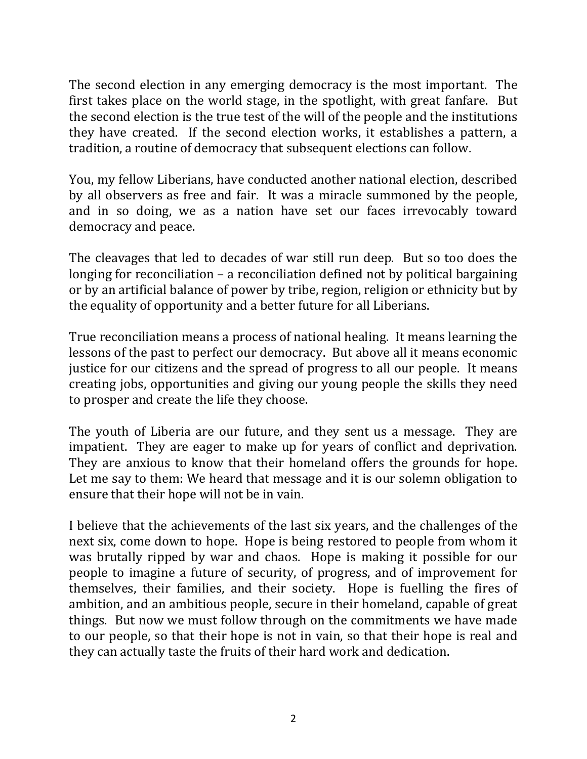The second election in any emerging democracy is the most important. The first takes place on the world stage, in the spotlight, with great fanfare. But the second election is the true test of the will of the people and the institutions they have created. If the second election works, it establishes a pattern, a tradition, a routine of democracy that subsequent elections can follow.

You, my fellow Liberians, have conducted another national election, described by all observers as free and fair. It was a miracle summoned by the people, and in so doing, we as a nation have set our faces irrevocably toward democracy and peace.

The cleavages that led to decades of war still run deep. But so too does the longing for reconciliation – a reconciliation defined not by political bargaining or by an artificial balance of power by tribe, region, religion or ethnicity but by the equality of opportunity and a better future for all Liberians.

True reconciliation means a process of national healing. It means learning the lessons of the past to perfect our democracy. But above all it means economic justice for our citizens and the spread of progress to all our people. It means creating jobs, opportunities and giving our young people the skills they need to prosper and create the life they choose.

The youth of Liberia are our future, and they sent us a message. They are impatient. They are eager to make up for years of conflict and deprivation. They are anxious to know that their homeland offers the grounds for hope. Let me say to them: We heard that message and it is our solemn obligation to ensure that their hope will not be in vain.

I believe that the achievements of the last six years, and the challenges of the next six, come down to hope. Hope is being restored to people from whom it was brutally ripped by war and chaos. Hope is making it possible for our people to imagine a future of security, of progress, and of improvement for themselves, their families, and their society. Hope is fuelling the fires of ambition, and an ambitious people, secure in their homeland, capable of great things. But now we must follow through on the commitments we have made to our people, so that their hope is not in vain, so that their hope is real and they can actually taste the fruits of their hard work and dedication.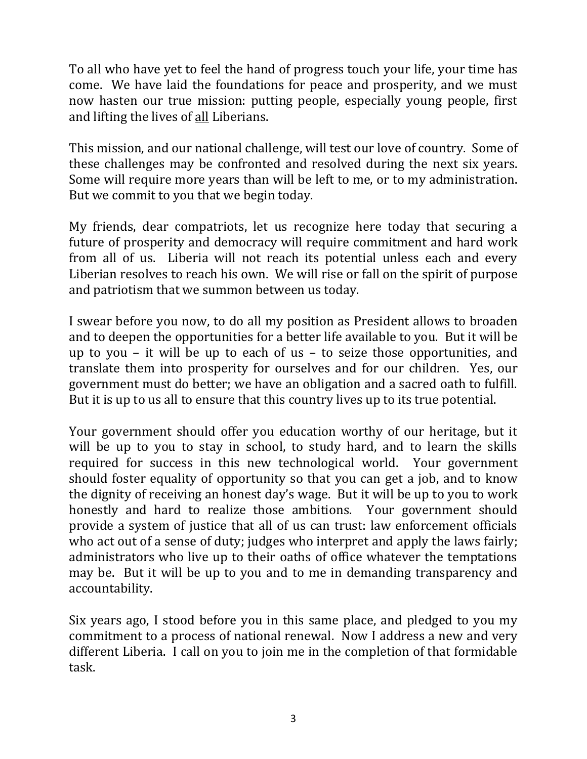To all who have yet to feel the hand of progress touch your life, your time has come. We have laid the foundations for peace and prosperity, and we must now hasten our true mission: putting people, especially young people, first and lifting the lives of all Liberians.

This mission, and our national challenge, will test our love of country. Some of these challenges may be confronted and resolved during the next six years. Some will require more years than will be left to me, or to my administration. But we commit to you that we begin today.

My friends, dear compatriots, let us recognize here today that securing a future of prosperity and democracy will require commitment and hard work from all of us. Liberia will not reach its potential unless each and every Liberian resolves to reach his own. We will rise or fall on the spirit of purpose and patriotism that we summon between us today.

I swear before you now, to do all my position as President allows to broaden and to deepen the opportunities for a better life available to you. But it will be up to you – it will be up to each of us – to seize those opportunities, and translate them into prosperity for ourselves and for our children. Yes, our government must do better; we have an obligation and a sacred oath to fulfill. But it is up to us all to ensure that this country lives up to its true potential.

Your government should offer you education worthy of our heritage, but it will be up to you to stay in school, to study hard, and to learn the skills required for success in this new technological world. Your government should foster equality of opportunity so that you can get a job, and to know the dignity of receiving an honest day's wage. But it will be up to you to work honestly and hard to realize those ambitions. Your government should provide a system of justice that all of us can trust: law enforcement officials who act out of a sense of duty; judges who interpret and apply the laws fairly; administrators who live up to their oaths of office whatever the temptations may be. But it will be up to you and to me in demanding transparency and accountability.

Six years ago, I stood before you in this same place, and pledged to you my commitment to a process of national renewal. Now I address a new and very different Liberia. I call on you to join me in the completion of that formidable task.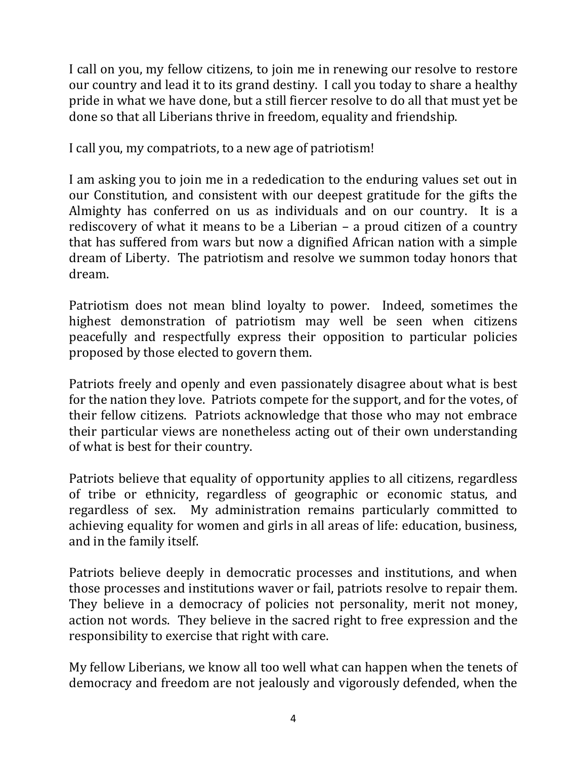I call on you, my fellow citizens, to join me in renewing our resolve to restore our country and lead it to its grand destiny. I call you today to share a healthy pride in what we have done, but a still fiercer resolve to do all that must yet be done so that all Liberians thrive in freedom, equality and friendship.

I call you, my compatriots, to a new age of patriotism!

I am asking you to join me in a rededication to the enduring values set out in our Constitution, and consistent with our deepest gratitude for the gifts the Almighty has conferred on us as individuals and on our country. It is a rediscovery of what it means to be a Liberian – a proud citizen of a country that has suffered from wars but now a dignified African nation with a simple dream of Liberty. The patriotism and resolve we summon today honors that dream.

Patriotism does not mean blind loyalty to power. Indeed, sometimes the highest demonstration of patriotism may well be seen when citizens peacefully and respectfully express their opposition to particular policies proposed by those elected to govern them.

Patriots freely and openly and even passionately disagree about what is best for the nation they love. Patriots compete for the support, and for the votes, of their fellow citizens. Patriots acknowledge that those who may not embrace their particular views are nonetheless acting out of their own understanding of what is best for their country.

Patriots believe that equality of opportunity applies to all citizens, regardless of tribe or ethnicity, regardless of geographic or economic status, and regardless of sex. My administration remains particularly committed to achieving equality for women and girls in all areas of life: education, business, and in the family itself.

Patriots believe deeply in democratic processes and institutions, and when those processes and institutions waver or fail, patriots resolve to repair them. They believe in a democracy of policies not personality, merit not money, action not words. They believe in the sacred right to free expression and the responsibility to exercise that right with care.

My fellow Liberians, we know all too well what can happen when the tenets of democracy and freedom are not jealously and vigorously defended, when the